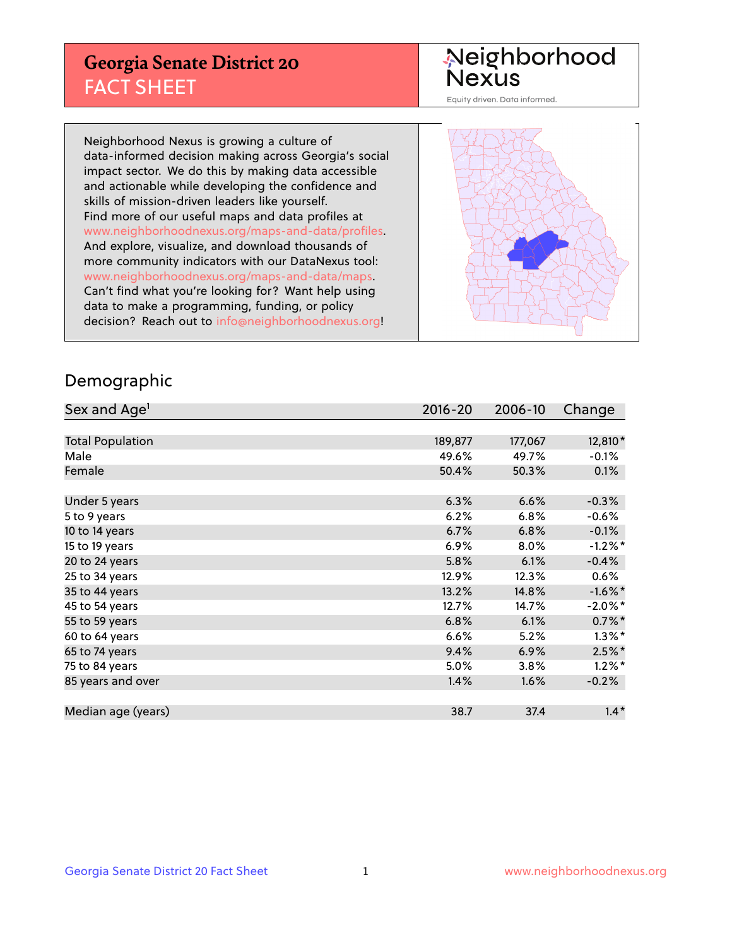## **Georgia Senate District 20** FACT SHEET

# Neighborhood<br>Nexus

Equity driven. Data informed.

Neighborhood Nexus is growing a culture of data-informed decision making across Georgia's social impact sector. We do this by making data accessible and actionable while developing the confidence and skills of mission-driven leaders like yourself. Find more of our useful maps and data profiles at www.neighborhoodnexus.org/maps-and-data/profiles. And explore, visualize, and download thousands of more community indicators with our DataNexus tool: www.neighborhoodnexus.org/maps-and-data/maps. Can't find what you're looking for? Want help using data to make a programming, funding, or policy decision? Reach out to [info@neighborhoodnexus.org!](mailto:info@neighborhoodnexus.org)



### Demographic

| Sex and Age <sup>1</sup> | $2016 - 20$ | 2006-10 | Change               |
|--------------------------|-------------|---------|----------------------|
|                          |             |         |                      |
| <b>Total Population</b>  | 189,877     | 177,067 | 12,810*              |
| Male                     | 49.6%       | 49.7%   | $-0.1\%$             |
| Female                   | 50.4%       | 50.3%   | 0.1%                 |
|                          |             |         |                      |
| Under 5 years            | 6.3%        | 6.6%    | $-0.3%$              |
| 5 to 9 years             | 6.2%        | 6.8%    | $-0.6%$              |
| 10 to 14 years           | 6.7%        | 6.8%    | $-0.1%$              |
| 15 to 19 years           | 6.9%        | 8.0%    | $-1.2%$ *            |
| 20 to 24 years           | 5.8%        | 6.1%    | $-0.4%$              |
| 25 to 34 years           | 12.9%       | 12.3%   | $0.6\%$              |
| 35 to 44 years           | 13.2%       | 14.8%   | $-1.6\%$ *           |
| 45 to 54 years           | 12.7%       | 14.7%   | $-2.0\%$ *           |
| 55 to 59 years           | 6.8%        | 6.1%    | $0.7\%$ *            |
| 60 to 64 years           | 6.6%        | 5.2%    | $1.3\%$ <sup>*</sup> |
| 65 to 74 years           | 9.4%        | 6.9%    | $2.5%$ *             |
| 75 to 84 years           | 5.0%        | 3.8%    | $1.2\%$ *            |
| 85 years and over        | 1.4%        | 1.6%    | $-0.2%$              |
|                          |             |         |                      |
| Median age (years)       | 38.7        | 37.4    | $1.4*$               |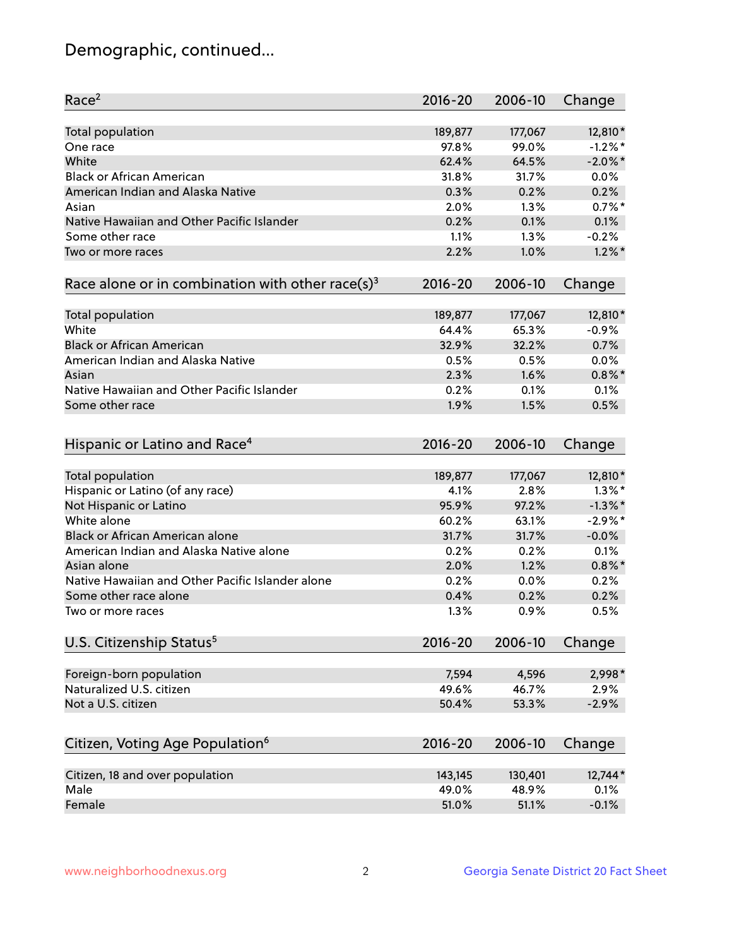## Demographic, continued...

| Race <sup>2</sup>                                            | $2016 - 20$ | 2006-10 | Change     |
|--------------------------------------------------------------|-------------|---------|------------|
| Total population                                             | 189,877     | 177,067 | 12,810*    |
| One race                                                     | 97.8%       | 99.0%   | $-1.2%$ *  |
| White                                                        | 62.4%       | 64.5%   | $-2.0\%$ * |
| <b>Black or African American</b>                             | 31.8%       | 31.7%   | 0.0%       |
| American Indian and Alaska Native                            | 0.3%        | 0.2%    | 0.2%       |
| Asian                                                        | 2.0%        | 1.3%    | $0.7%$ *   |
| Native Hawaiian and Other Pacific Islander                   | 0.2%        | 0.1%    | 0.1%       |
| Some other race                                              | 1.1%        | 1.3%    | $-0.2%$    |
| Two or more races                                            | 2.2%        | 1.0%    | $1.2\%$ *  |
| Race alone or in combination with other race(s) <sup>3</sup> | $2016 - 20$ | 2006-10 | Change     |
|                                                              |             |         |            |
| Total population                                             | 189,877     | 177,067 | 12,810*    |
| White                                                        | 64.4%       | 65.3%   | $-0.9%$    |
| <b>Black or African American</b>                             | 32.9%       | 32.2%   | 0.7%       |
| American Indian and Alaska Native                            | 0.5%        | 0.5%    | 0.0%       |
| Asian                                                        | 2.3%        | 1.6%    | $0.8\%$ *  |
| Native Hawaiian and Other Pacific Islander                   | 0.2%        | 0.1%    | 0.1%       |
| Some other race                                              | 1.9%        | 1.5%    | 0.5%       |
| Hispanic or Latino and Race <sup>4</sup>                     | $2016 - 20$ | 2006-10 | Change     |
| <b>Total population</b>                                      | 189,877     | 177,067 | 12,810*    |
| Hispanic or Latino (of any race)                             | 4.1%        | 2.8%    | $1.3\%$ *  |
| Not Hispanic or Latino                                       | 95.9%       | 97.2%   | $-1.3\%$ * |
| White alone                                                  | 60.2%       | 63.1%   | $-2.9\%$ * |
| <b>Black or African American alone</b>                       | 31.7%       | 31.7%   | $-0.0%$    |
| American Indian and Alaska Native alone                      | 0.2%        | 0.2%    | 0.1%       |
| Asian alone                                                  | 2.0%        | 1.2%    | $0.8\%$ *  |
| Native Hawaiian and Other Pacific Islander alone             | 0.2%        | 0.0%    | 0.2%       |
| Some other race alone                                        | 0.4%        | 0.2%    | 0.2%       |
| Two or more races                                            | 1.3%        | 0.9%    | 0.5%       |
| U.S. Citizenship Status <sup>5</sup>                         | $2016 - 20$ | 2006-10 | Change     |
|                                                              |             |         |            |
| Foreign-born population                                      | 7,594       | 4,596   | 2,998*     |
| Naturalized U.S. citizen                                     | 49.6%       | 46.7%   | 2.9%       |
| Not a U.S. citizen                                           | 50.4%       | 53.3%   | $-2.9%$    |
| Citizen, Voting Age Population <sup>6</sup>                  | $2016 - 20$ | 2006-10 | Change     |
|                                                              |             |         |            |
| Citizen, 18 and over population                              | 143,145     | 130,401 | 12,744*    |
| Male                                                         | 49.0%       | 48.9%   | 0.1%       |
| Female                                                       | 51.0%       | 51.1%   | $-0.1%$    |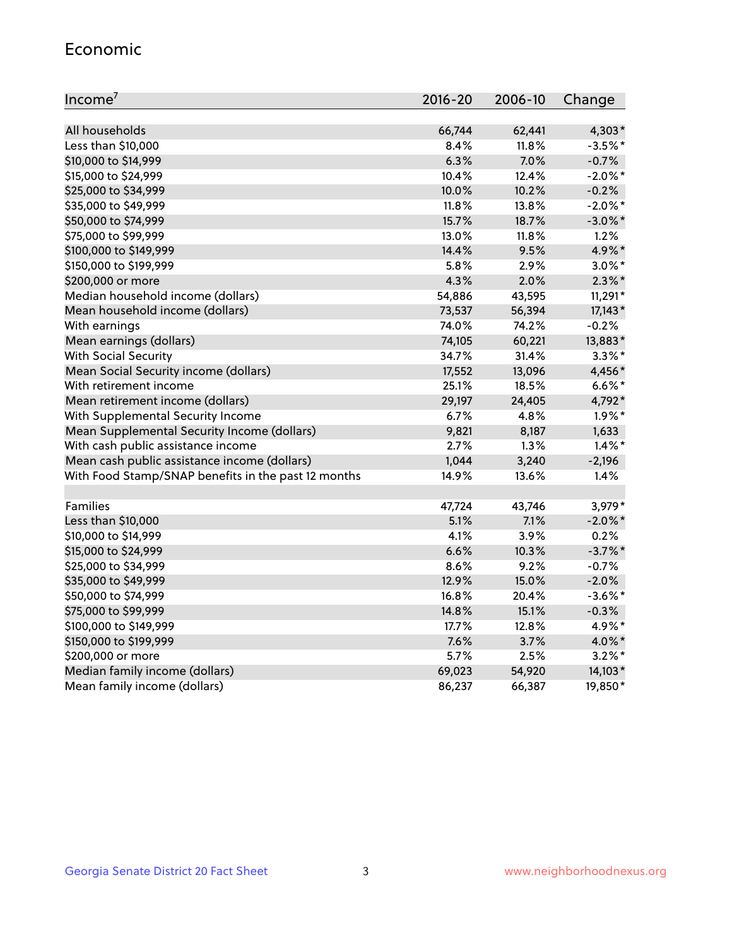#### Economic

| Income <sup>7</sup>                                 | $2016 - 20$ | 2006-10 | Change     |
|-----------------------------------------------------|-------------|---------|------------|
|                                                     |             |         |            |
| All households                                      | 66,744      | 62,441  | 4,303*     |
| Less than \$10,000                                  | 8.4%        | 11.8%   | $-3.5%$ *  |
| \$10,000 to \$14,999                                | 6.3%        | 7.0%    | $-0.7%$    |
| \$15,000 to \$24,999                                | 10.4%       | 12.4%   | $-2.0\%$ * |
| \$25,000 to \$34,999                                | 10.0%       | 10.2%   | $-0.2%$    |
| \$35,000 to \$49,999                                | 11.8%       | 13.8%   | $-2.0\%$ * |
| \$50,000 to \$74,999                                | 15.7%       | 18.7%   | $-3.0\%$ * |
| \$75,000 to \$99,999                                | 13.0%       | 11.8%   | 1.2%       |
| \$100,000 to \$149,999                              | 14.4%       | 9.5%    | 4.9%*      |
| \$150,000 to \$199,999                              | 5.8%        | 2.9%    | $3.0\%$ *  |
| \$200,000 or more                                   | 4.3%        | 2.0%    | $2.3\%$ *  |
| Median household income (dollars)                   | 54,886      | 43,595  | $11,291*$  |
| Mean household income (dollars)                     | 73,537      | 56,394  | $17,143*$  |
| With earnings                                       | 74.0%       | 74.2%   | $-0.2%$    |
| Mean earnings (dollars)                             | 74,105      | 60,221  | 13,883*    |
| <b>With Social Security</b>                         | 34.7%       | 31.4%   | $3.3\%$ *  |
| Mean Social Security income (dollars)               | 17,552      | 13,096  | 4,456*     |
| With retirement income                              | 25.1%       | 18.5%   | $6.6\%$ *  |
| Mean retirement income (dollars)                    | 29,197      | 24,405  | 4,792*     |
| With Supplemental Security Income                   | $6.7\%$     | 4.8%    | $1.9\%$ *  |
| Mean Supplemental Security Income (dollars)         | 9,821       | 8,187   | 1,633      |
| With cash public assistance income                  | 2.7%        | 1.3%    | $1.4\%$ *  |
| Mean cash public assistance income (dollars)        | 1,044       | 3,240   | $-2,196$   |
| With Food Stamp/SNAP benefits in the past 12 months | 14.9%       | 13.6%   | 1.4%       |
|                                                     |             |         |            |
| Families                                            | 47,724      | 43,746  | 3,979*     |
| Less than \$10,000                                  | 5.1%        | 7.1%    | $-2.0\%$ * |
| \$10,000 to \$14,999                                | 4.1%        | 3.9%    | 0.2%       |
| \$15,000 to \$24,999                                | 6.6%        | 10.3%   | $-3.7%$ *  |
| \$25,000 to \$34,999                                | 8.6%        | 9.2%    | $-0.7%$    |
| \$35,000 to \$49,999                                | 12.9%       | 15.0%   | $-2.0%$    |
| \$50,000 to \$74,999                                | 16.8%       | 20.4%   | $-3.6\%$ * |
| \$75,000 to \$99,999                                | 14.8%       | 15.1%   | $-0.3%$    |
| \$100,000 to \$149,999                              | 17.7%       | 12.8%   | 4.9%*      |
| \$150,000 to \$199,999                              | 7.6%        | 3.7%    | 4.0%*      |
| \$200,000 or more                                   | 5.7%        | 2.5%    | $3.2\%$ *  |
| Median family income (dollars)                      | 69,023      | 54,920  | 14,103*    |
| Mean family income (dollars)                        | 86,237      | 66,387  | 19,850*    |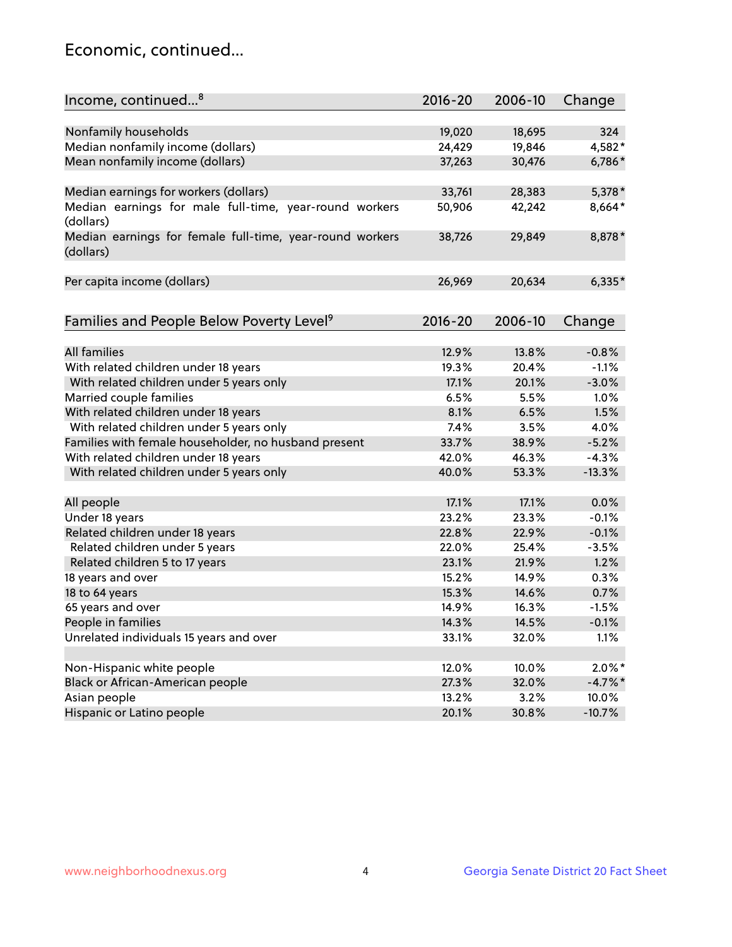## Economic, continued...

| Income, continued <sup>8</sup>                                        | $2016 - 20$ | 2006-10 | Change     |
|-----------------------------------------------------------------------|-------------|---------|------------|
|                                                                       |             |         |            |
| Nonfamily households                                                  | 19,020      | 18,695  | 324        |
| Median nonfamily income (dollars)                                     | 24,429      | 19,846  | 4,582*     |
| Mean nonfamily income (dollars)                                       | 37,263      | 30,476  | 6,786*     |
| Median earnings for workers (dollars)                                 | 33,761      | 28,383  | 5,378 *    |
| Median earnings for male full-time, year-round workers                | 50,906      | 42,242  | 8,664*     |
| (dollars)                                                             |             |         |            |
| Median earnings for female full-time, year-round workers<br>(dollars) | 38,726      | 29,849  | 8,878*     |
| Per capita income (dollars)                                           | 26,969      | 20,634  | $6,335*$   |
|                                                                       |             |         |            |
| Families and People Below Poverty Level <sup>9</sup>                  | 2016-20     | 2006-10 | Change     |
|                                                                       |             |         |            |
| <b>All families</b>                                                   | 12.9%       | 13.8%   | $-0.8%$    |
| With related children under 18 years                                  | 19.3%       | 20.4%   | $-1.1%$    |
| With related children under 5 years only                              | 17.1%       | 20.1%   | $-3.0%$    |
| Married couple families                                               | 6.5%        | 5.5%    | 1.0%       |
| With related children under 18 years                                  | 8.1%        | 6.5%    | 1.5%       |
| With related children under 5 years only                              | 7.4%        | 3.5%    | 4.0%       |
| Families with female householder, no husband present                  | 33.7%       | 38.9%   | $-5.2%$    |
| With related children under 18 years                                  | 42.0%       | 46.3%   | $-4.3%$    |
| With related children under 5 years only                              | 40.0%       | 53.3%   | $-13.3%$   |
| All people                                                            | 17.1%       | 17.1%   | 0.0%       |
| Under 18 years                                                        | 23.2%       | 23.3%   | $-0.1%$    |
| Related children under 18 years                                       | 22.8%       | 22.9%   | $-0.1%$    |
| Related children under 5 years                                        | 22.0%       | 25.4%   | $-3.5%$    |
| Related children 5 to 17 years                                        | 23.1%       | 21.9%   | 1.2%       |
| 18 years and over                                                     | 15.2%       | 14.9%   | 0.3%       |
| 18 to 64 years                                                        | 15.3%       | 14.6%   | 0.7%       |
| 65 years and over                                                     | 14.9%       | 16.3%   | $-1.5%$    |
| People in families                                                    | 14.3%       | 14.5%   | $-0.1%$    |
| Unrelated individuals 15 years and over                               | 33.1%       | 32.0%   | 1.1%       |
|                                                                       |             |         |            |
| Non-Hispanic white people                                             | 12.0%       | 10.0%   | $2.0\%$ *  |
| Black or African-American people                                      | 27.3%       | 32.0%   | $-4.7\%$ * |
| Asian people                                                          | 13.2%       | 3.2%    | 10.0%      |
| Hispanic or Latino people                                             | 20.1%       | 30.8%   | $-10.7%$   |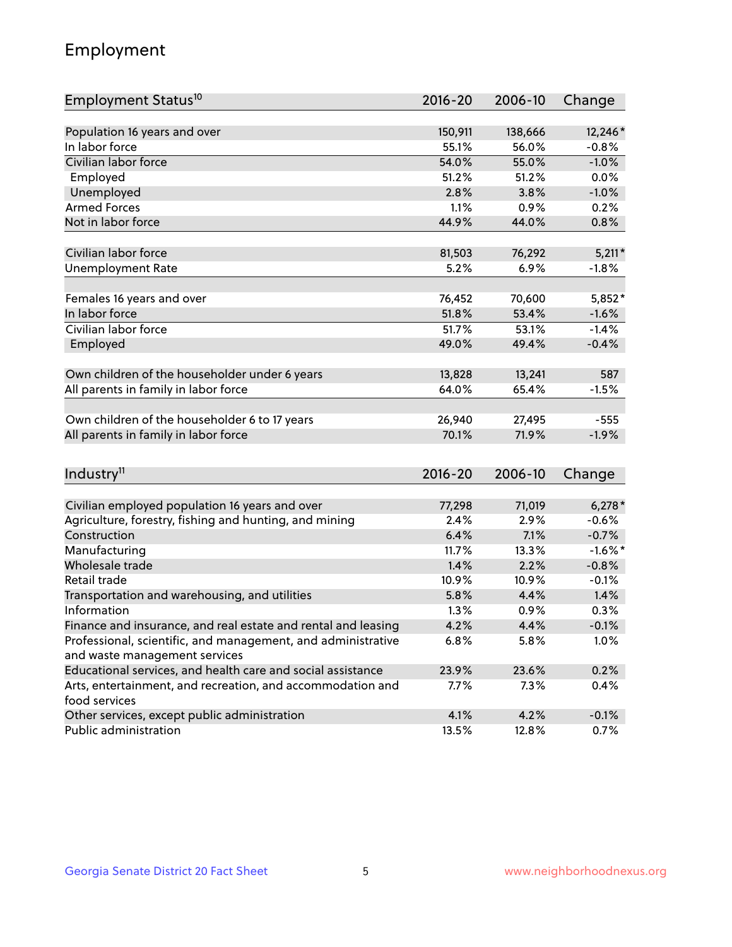## Employment

| Employment Status <sup>10</sup>                                             | $2016 - 20$ | 2006-10 | Change     |
|-----------------------------------------------------------------------------|-------------|---------|------------|
|                                                                             |             |         |            |
| Population 16 years and over                                                | 150,911     | 138,666 | 12,246*    |
| In labor force                                                              | 55.1%       | 56.0%   | $-0.8%$    |
| Civilian labor force                                                        | 54.0%       | 55.0%   | $-1.0%$    |
| Employed                                                                    | 51.2%       | 51.2%   | 0.0%       |
| Unemployed                                                                  | 2.8%        | 3.8%    | $-1.0%$    |
| <b>Armed Forces</b>                                                         | 1.1%        | 0.9%    | 0.2%       |
| Not in labor force                                                          | 44.9%       | 44.0%   | 0.8%       |
|                                                                             |             |         |            |
| Civilian labor force                                                        | 81,503      | 76,292  | $5,211*$   |
| <b>Unemployment Rate</b>                                                    | 5.2%        | 6.9%    | $-1.8%$    |
| Females 16 years and over                                                   | 76,452      | 70,600  | 5,852*     |
| In labor force                                                              | 51.8%       | 53.4%   | $-1.6%$    |
| Civilian labor force                                                        | 51.7%       | 53.1%   | $-1.4%$    |
| Employed                                                                    | 49.0%       | 49.4%   | $-0.4%$    |
|                                                                             |             |         |            |
| Own children of the householder under 6 years                               | 13,828      | 13,241  | 587        |
| All parents in family in labor force                                        | 64.0%       | 65.4%   | $-1.5%$    |
|                                                                             |             |         |            |
| Own children of the householder 6 to 17 years                               | 26,940      | 27,495  | $-555$     |
| All parents in family in labor force                                        | 70.1%       | 71.9%   | $-1.9%$    |
|                                                                             |             |         |            |
| Industry <sup>11</sup>                                                      | $2016 - 20$ | 2006-10 | Change     |
|                                                                             |             |         |            |
| Civilian employed population 16 years and over                              | 77,298      | 71,019  | $6,278*$   |
| Agriculture, forestry, fishing and hunting, and mining                      | 2.4%        | 2.9%    | $-0.6%$    |
| Construction                                                                | 6.4%        | 7.1%    | $-0.7%$    |
| Manufacturing                                                               | 11.7%       | 13.3%   | $-1.6\%$ * |
| Wholesale trade                                                             | 1.4%        | 2.2%    | $-0.8%$    |
| Retail trade                                                                | 10.9%       | 10.9%   | $-0.1%$    |
| Transportation and warehousing, and utilities                               | 5.8%        | 4.4%    | 1.4%       |
| Information                                                                 | 1.3%        | 0.9%    | 0.3%       |
| Finance and insurance, and real estate and rental and leasing               | 4.2%        | 4.4%    | $-0.1%$    |
| Professional, scientific, and management, and administrative                | 6.8%        | 5.8%    | $1.0\%$    |
| and waste management services                                               |             |         |            |
| Educational services, and health care and social assistance                 | 23.9%       | 23.6%   | 0.2%       |
| Arts, entertainment, and recreation, and accommodation and<br>food services | 7.7%        | 7.3%    | 0.4%       |
| Other services, except public administration                                | 4.1%        | 4.2%    | $-0.1%$    |
| Public administration                                                       | 13.5%       | 12.8%   | 0.7%       |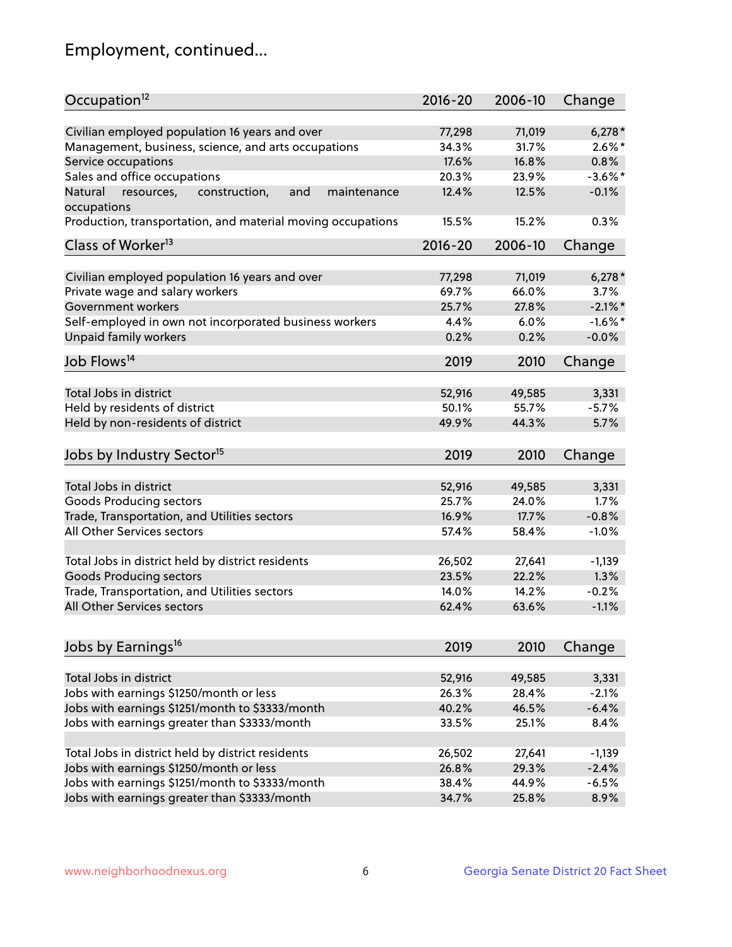## Employment, continued...

| Occupation <sup>12</sup>                                                    | $2016 - 20$ | 2006-10 | Change     |
|-----------------------------------------------------------------------------|-------------|---------|------------|
| Civilian employed population 16 years and over                              | 77,298      | 71,019  | $6,278*$   |
| Management, business, science, and arts occupations                         | 34.3%       | 31.7%   | $2.6\%$ *  |
| Service occupations                                                         | 17.6%       | 16.8%   | 0.8%       |
| Sales and office occupations                                                | 20.3%       | 23.9%   | $-3.6\%$ * |
|                                                                             |             |         | $-0.1%$    |
| Natural<br>and<br>resources,<br>construction,<br>maintenance<br>occupations | 12.4%       | 12.5%   |            |
| Production, transportation, and material moving occupations                 | 15.5%       | 15.2%   | 0.3%       |
| Class of Worker <sup>13</sup>                                               | $2016 - 20$ | 2006-10 | Change     |
|                                                                             |             |         |            |
| Civilian employed population 16 years and over                              | 77,298      | 71,019  | $6,278*$   |
| Private wage and salary workers                                             | 69.7%       | 66.0%   | 3.7%       |
| Government workers                                                          | 25.7%       | 27.8%   | $-2.1\%$ * |
| Self-employed in own not incorporated business workers                      | 4.4%        | 6.0%    | $-1.6\%$ * |
| Unpaid family workers                                                       | 0.2%        | 0.2%    | $-0.0%$    |
| Job Flows <sup>14</sup>                                                     | 2019        | 2010    | Change     |
|                                                                             |             |         |            |
| Total Jobs in district                                                      | 52,916      | 49,585  | 3,331      |
| Held by residents of district                                               | 50.1%       | 55.7%   | $-5.7%$    |
| Held by non-residents of district                                           | 49.9%       | 44.3%   | 5.7%       |
| Jobs by Industry Sector <sup>15</sup>                                       | 2019        | 2010    | Change     |
|                                                                             |             |         |            |
| Total Jobs in district                                                      | 52,916      | 49,585  | 3,331      |
| Goods Producing sectors                                                     | 25.7%       | 24.0%   | 1.7%       |
| Trade, Transportation, and Utilities sectors                                | 16.9%       | 17.7%   | $-0.8%$    |
| All Other Services sectors                                                  | 57.4%       | 58.4%   | $-1.0%$    |
|                                                                             |             |         |            |
| Total Jobs in district held by district residents                           | 26,502      | 27,641  | $-1,139$   |
| <b>Goods Producing sectors</b>                                              | 23.5%       | 22.2%   | 1.3%       |
| Trade, Transportation, and Utilities sectors                                | 14.0%       | 14.2%   | $-0.2%$    |
| All Other Services sectors                                                  | 62.4%       | 63.6%   | $-1.1%$    |
|                                                                             |             |         |            |
| Jobs by Earnings <sup>16</sup>                                              | 2019        | 2010    | Change     |
|                                                                             |             |         |            |
| Total Jobs in district                                                      | 52,916      | 49,585  | 3,331      |
| Jobs with earnings \$1250/month or less                                     | 26.3%       | 28.4%   | $-2.1%$    |
| Jobs with earnings \$1251/month to \$3333/month                             | 40.2%       | 46.5%   | $-6.4%$    |
| Jobs with earnings greater than \$3333/month                                | 33.5%       | 25.1%   | 8.4%       |
| Total Jobs in district held by district residents                           | 26,502      | 27,641  | $-1,139$   |
| Jobs with earnings \$1250/month or less                                     | 26.8%       | 29.3%   | $-2.4%$    |
| Jobs with earnings \$1251/month to \$3333/month                             | 38.4%       | 44.9%   | $-6.5%$    |
| Jobs with earnings greater than \$3333/month                                | 34.7%       | 25.8%   | 8.9%       |
|                                                                             |             |         |            |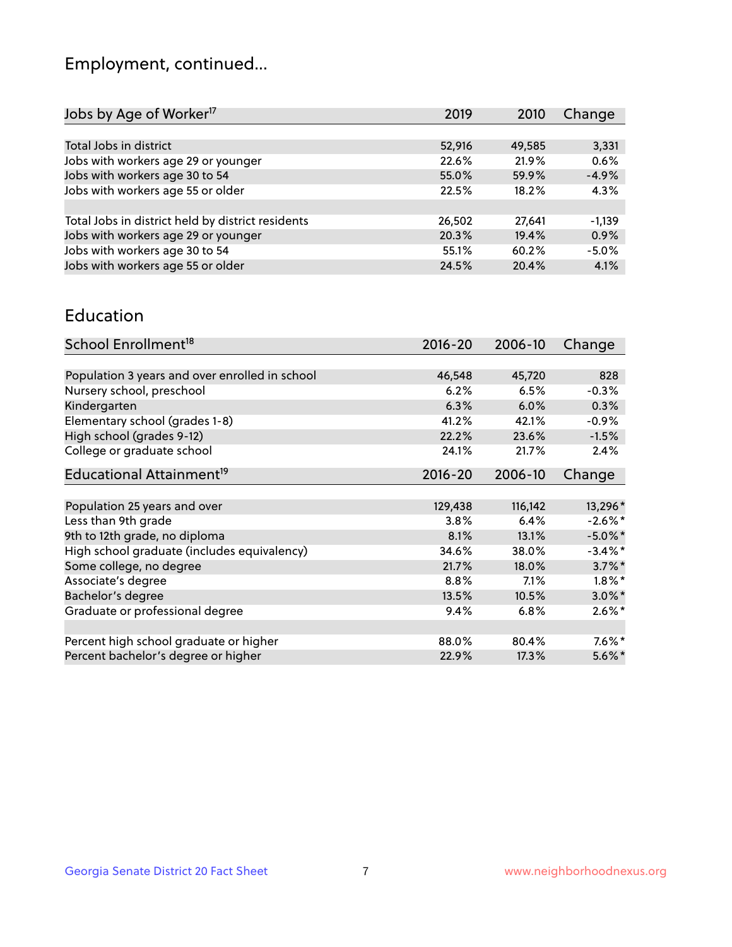## Employment, continued...

| Jobs by Age of Worker <sup>17</sup>               | 2019   | 2010   | Change   |
|---------------------------------------------------|--------|--------|----------|
|                                                   |        |        |          |
| Total Jobs in district                            | 52,916 | 49,585 | 3,331    |
| Jobs with workers age 29 or younger               | 22.6%  | 21.9%  | 0.6%     |
| Jobs with workers age 30 to 54                    | 55.0%  | 59.9%  | $-4.9%$  |
| Jobs with workers age 55 or older                 | 22.5%  | 18.2%  | 4.3%     |
|                                                   |        |        |          |
| Total Jobs in district held by district residents | 26,502 | 27.641 | $-1,139$ |
| Jobs with workers age 29 or younger               | 20.3%  | 19.4%  | 0.9%     |
| Jobs with workers age 30 to 54                    | 55.1%  | 60.2%  | $-5.0%$  |
| Jobs with workers age 55 or older                 | 24.5%  | 20.4%  | 4.1%     |
|                                                   |        |        |          |

#### Education

| School Enrollment <sup>18</sup>                | $2016 - 20$ | 2006-10 | Change     |
|------------------------------------------------|-------------|---------|------------|
|                                                |             |         |            |
| Population 3 years and over enrolled in school | 46,548      | 45,720  | 828        |
| Nursery school, preschool                      | 6.2%        | 6.5%    | $-0.3%$    |
| Kindergarten                                   | 6.3%        | 6.0%    | 0.3%       |
| Elementary school (grades 1-8)                 | 41.2%       | 42.1%   | $-0.9%$    |
| High school (grades 9-12)                      | 22.2%       | 23.6%   | $-1.5%$    |
| College or graduate school                     | 24.1%       | 21.7%   | 2.4%       |
| Educational Attainment <sup>19</sup>           | $2016 - 20$ | 2006-10 | Change     |
|                                                |             |         |            |
| Population 25 years and over                   | 129,438     | 116,142 | 13,296*    |
| Less than 9th grade                            | 3.8%        | 6.4%    | $-2.6\%$ * |
| 9th to 12th grade, no diploma                  | 8.1%        | 13.1%   | $-5.0\%$ * |
| High school graduate (includes equivalency)    | 34.6%       | 38.0%   | $-3.4\%$ * |
| Some college, no degree                        | 21.7%       | 18.0%   | $3.7\%$ *  |
| Associate's degree                             | 8.8%        | 7.1%    | $1.8\%$ *  |
| Bachelor's degree                              | 13.5%       | 10.5%   | $3.0\%$ *  |
| Graduate or professional degree                | 9.4%        | $6.8\%$ | $2.6\%$ *  |
|                                                |             |         |            |
| Percent high school graduate or higher         | 88.0%       | 80.4%   | $7.6\%$ *  |
| Percent bachelor's degree or higher            | 22.9%       | 17.3%   | $5.6\%$ *  |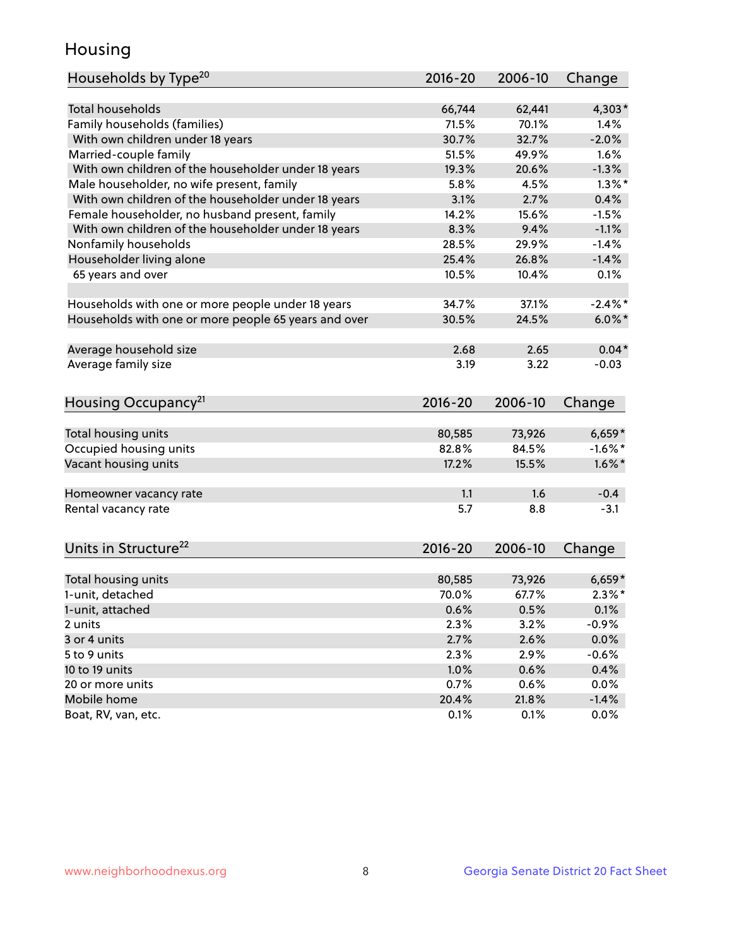## Housing

| Households by Type <sup>20</sup>                     | 2016-20     | 2006-10 | Change     |
|------------------------------------------------------|-------------|---------|------------|
|                                                      |             |         |            |
| <b>Total households</b>                              | 66,744      | 62,441  | $4,303*$   |
| Family households (families)                         | 71.5%       | 70.1%   | 1.4%       |
| With own children under 18 years                     | 30.7%       | 32.7%   | $-2.0%$    |
| Married-couple family                                | 51.5%       | 49.9%   | 1.6%       |
| With own children of the householder under 18 years  | 19.3%       | 20.6%   | $-1.3%$    |
| Male householder, no wife present, family            | 5.8%        | 4.5%    | $1.3\%$ *  |
| With own children of the householder under 18 years  | 3.1%        | 2.7%    | 0.4%       |
| Female householder, no husband present, family       | 14.2%       | 15.6%   | $-1.5%$    |
| With own children of the householder under 18 years  | 8.3%        | 9.4%    | $-1.1%$    |
| Nonfamily households                                 | 28.5%       | 29.9%   | $-1.4%$    |
| Householder living alone                             | 25.4%       | 26.8%   | $-1.4%$    |
| 65 years and over                                    | 10.5%       | 10.4%   | 0.1%       |
|                                                      |             |         |            |
| Households with one or more people under 18 years    | 34.7%       | 37.1%   | $-2.4\%$ * |
| Households with one or more people 65 years and over | 30.5%       | 24.5%   | $6.0\%$ *  |
|                                                      |             |         |            |
| Average household size                               | 2.68        | 2.65    | $0.04*$    |
| Average family size                                  | 3.19        | 3.22    | $-0.03$    |
|                                                      |             |         |            |
| Housing Occupancy <sup>21</sup>                      | 2016-20     | 2006-10 | Change     |
|                                                      |             |         |            |
| Total housing units                                  | 80,585      | 73,926  | $6,659*$   |
| Occupied housing units                               | 82.8%       | 84.5%   | $-1.6%$ *  |
| Vacant housing units                                 | 17.2%       | 15.5%   | $1.6\%$ *  |
| Homeowner vacancy rate                               | 1.1         | 1.6     | $-0.4$     |
| Rental vacancy rate                                  | 5.7         | 8.8     | $-3.1$     |
|                                                      |             |         |            |
| Units in Structure <sup>22</sup>                     | $2016 - 20$ | 2006-10 | Change     |
|                                                      |             |         |            |
| Total housing units                                  | 80,585      | 73,926  | $6,659*$   |
| 1-unit, detached                                     | 70.0%       | 67.7%   | $2.3\%$ *  |
| 1-unit, attached                                     | 0.6%        | 0.5%    | 0.1%       |
| 2 units                                              | 2.3%        | 3.2%    | $-0.9%$    |
| 3 or 4 units                                         | 2.7%        | 2.6%    | 0.0%       |
| 5 to 9 units                                         | 2.3%        | 2.9%    | $-0.6%$    |
| 10 to 19 units                                       | 1.0%        | 0.6%    | 0.4%       |
| 20 or more units                                     | 0.7%        | 0.6%    | 0.0%       |
| Mobile home                                          | 20.4%       | 21.8%   | $-1.4%$    |
|                                                      |             |         |            |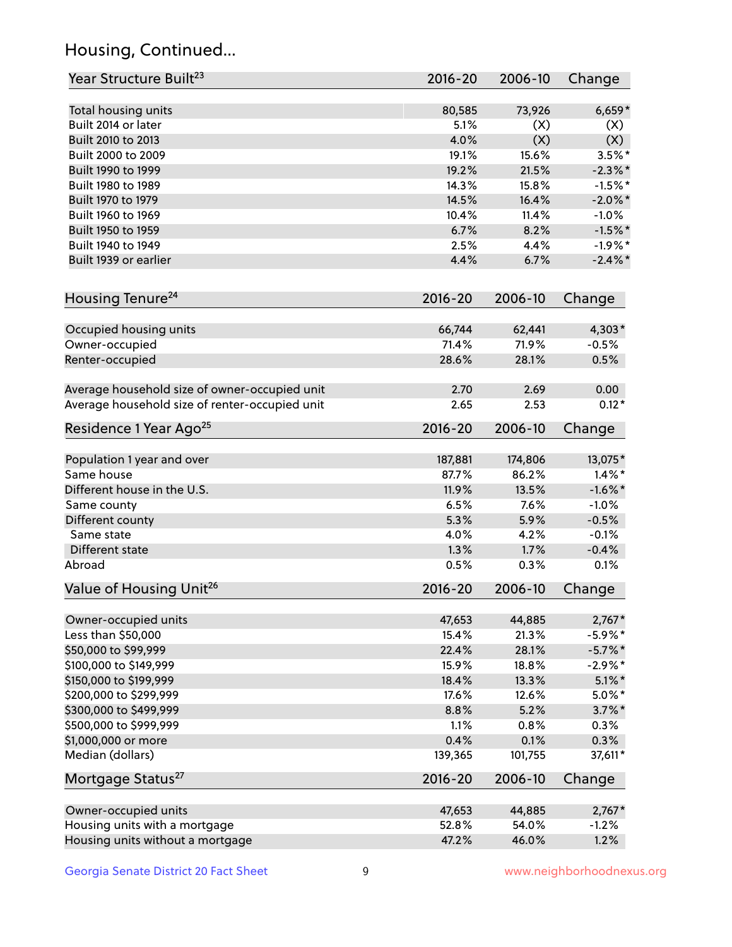## Housing, Continued...

| Year Structure Built <sup>23</sup>             | 2016-20          | 2006-10       | Change               |
|------------------------------------------------|------------------|---------------|----------------------|
| Total housing units                            | 80,585           | 73,926        | $6,659*$             |
| Built 2014 or later                            | 5.1%             | (X)           | (X)                  |
| Built 2010 to 2013                             | 4.0%             | (X)           | (X)                  |
| Built 2000 to 2009                             | 19.1%            | 15.6%         | $3.5\%$ *            |
| Built 1990 to 1999                             | 19.2%            | 21.5%         | $-2.3\%$ *           |
| Built 1980 to 1989                             | 14.3%            | 15.8%         | $-1.5%$ *            |
| Built 1970 to 1979                             | 14.5%            | 16.4%         | $-2.0\%$ *           |
| Built 1960 to 1969                             | 10.4%            | 11.4%         | $-1.0%$              |
| Built 1950 to 1959                             | 6.7%             | 8.2%          | $-1.5%$ *            |
| Built 1940 to 1949                             | 2.5%             | 4.4%          | $-1.9%$ *            |
| Built 1939 or earlier                          | 4.4%             | 6.7%          | $-2.4\%$ *           |
|                                                |                  |               |                      |
| Housing Tenure <sup>24</sup>                   | $2016 - 20$      | 2006-10       | Change               |
| Occupied housing units                         | 66,744           | 62,441        | $4,303*$             |
| Owner-occupied                                 | 71.4%            | 71.9%         | $-0.5%$              |
| Renter-occupied                                | 28.6%            | 28.1%         | 0.5%                 |
| Average household size of owner-occupied unit  | 2.70             | 2.69          | 0.00                 |
| Average household size of renter-occupied unit | 2.65             | 2.53          | $0.12*$              |
| Residence 1 Year Ago <sup>25</sup>             | $2016 - 20$      | 2006-10       | Change               |
|                                                |                  | 174,806       |                      |
| Population 1 year and over<br>Same house       | 187,881<br>87.7% | 86.2%         | 13,075*<br>$1.4\%$ * |
|                                                |                  |               |                      |
| Different house in the U.S.                    | 11.9%<br>6.5%    | 13.5%<br>7.6% | $-1.6\%$ *           |
| Same county                                    |                  |               | $-1.0%$              |
| Different county<br>Same state                 | 5.3%<br>4.0%     | 5.9%<br>4.2%  | $-0.5%$              |
|                                                |                  |               | $-0.1%$              |
| Different state                                | 1.3%             | 1.7%          | $-0.4%$              |
| Abroad                                         | 0.5%             | 0.3%          | 0.1%                 |
| Value of Housing Unit <sup>26</sup>            | $2016 - 20$      | 2006-10       | Change               |
| Owner-occupied units                           | 47,653           | 44,885        | $2,767*$             |
| Less than \$50,000                             | 15.4%            | 21.3%         | $-5.9\%$ *           |
| \$50,000 to \$99,999                           | 22.4%            | 28.1%         | $-5.7\%$ *           |
| \$100,000 to \$149,999                         | 15.9%            | 18.8%         | $-2.9\%$ *           |
| \$150,000 to \$199,999                         | 18.4%            | 13.3%         | $5.1\%$ *            |
| \$200,000 to \$299,999                         | 17.6%            | 12.6%         | $5.0\%$ *            |
| \$300,000 to \$499,999                         | 8.8%             | 5.2%          | $3.7\%$ *            |
| \$500,000 to \$999,999                         | 1.1%             | 0.8%          | 0.3%                 |
| \$1,000,000 or more                            | 0.4%             | 0.1%          | 0.3%                 |
| Median (dollars)                               | 139,365          | 101,755       | 37,611*              |
| Mortgage Status <sup>27</sup>                  | $2016 - 20$      | 2006-10       | Change               |
| Owner-occupied units                           | 47,653           | 44,885        | $2,767*$             |
| Housing units with a mortgage                  | 52.8%            | 54.0%         | $-1.2%$              |
| Housing units without a mortgage               | 47.2%            | 46.0%         | 1.2%                 |
|                                                |                  |               |                      |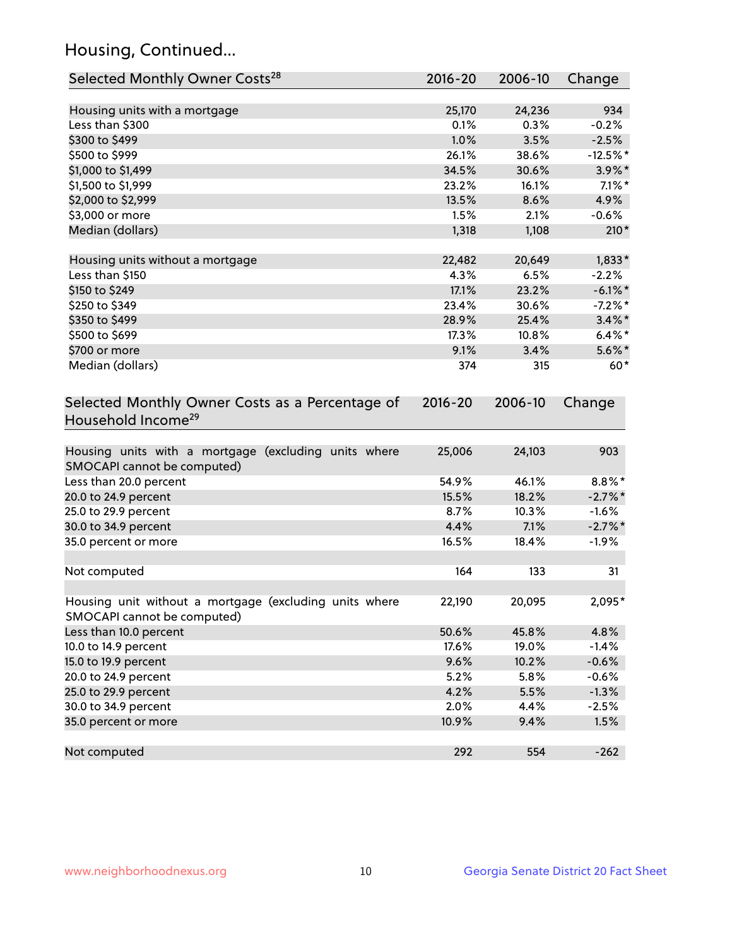## Housing, Continued...

| Selected Monthly Owner Costs <sup>28</sup>                                            | 2016-20     | 2006-10 | Change     |
|---------------------------------------------------------------------------------------|-------------|---------|------------|
| Housing units with a mortgage                                                         | 25,170      | 24,236  | 934        |
| Less than \$300                                                                       | 0.1%        | 0.3%    | $-0.2%$    |
| \$300 to \$499                                                                        | 1.0%        | 3.5%    | $-2.5%$    |
| \$500 to \$999                                                                        | 26.1%       | 38.6%   | $-12.5%$ * |
| \$1,000 to \$1,499                                                                    | 34.5%       | 30.6%   | $3.9\%$ *  |
| \$1,500 to \$1,999                                                                    | 23.2%       | 16.1%   | $7.1\%$ *  |
| \$2,000 to \$2,999                                                                    | 13.5%       | 8.6%    | 4.9%       |
| \$3,000 or more                                                                       | 1.5%        | 2.1%    | $-0.6%$    |
| Median (dollars)                                                                      | 1,318       | 1,108   | $210*$     |
|                                                                                       |             |         |            |
| Housing units without a mortgage                                                      | 22,482      | 20,649  | $1,833*$   |
| Less than \$150                                                                       | 4.3%        | 6.5%    | $-2.2%$    |
| \$150 to \$249                                                                        | 17.1%       | 23.2%   | $-6.1\%$ * |
| \$250 to \$349                                                                        | 23.4%       | 30.6%   | $-7.2%$ *  |
| \$350 to \$499                                                                        | 28.9%       | 25.4%   | $3.4\%$ *  |
| \$500 to \$699                                                                        | 17.3%       | 10.8%   | $6.4\%$ *  |
| \$700 or more                                                                         | 9.1%        | 3.4%    | $5.6\%$ *  |
| Median (dollars)                                                                      | 374         | 315     | $60*$      |
| Selected Monthly Owner Costs as a Percentage of<br>Household Income <sup>29</sup>     | $2016 - 20$ | 2006-10 | Change     |
| Housing units with a mortgage (excluding units where<br>SMOCAPI cannot be computed)   | 25,006      | 24,103  | 903        |
| Less than 20.0 percent                                                                | 54.9%       | 46.1%   | $8.8\%$ *  |
| 20.0 to 24.9 percent                                                                  | 15.5%       | 18.2%   | $-2.7\%$ * |
| 25.0 to 29.9 percent                                                                  | 8.7%        | 10.3%   | $-1.6%$    |
| 30.0 to 34.9 percent                                                                  | 4.4%        | 7.1%    | $-2.7\%$ * |
| 35.0 percent or more                                                                  | 16.5%       | 18.4%   | $-1.9%$    |
| Not computed                                                                          | 164         | 133     | 31         |
| Housing unit without a mortgage (excluding units where<br>SMOCAPI cannot be computed) | 22,190      | 20,095  | 2,095*     |
| Less than 10.0 percent                                                                | 50.6%       | 45.8%   | 4.8%       |
| 10.0 to 14.9 percent                                                                  | 17.6%       | 19.0%   | $-1.4%$    |
| 15.0 to 19.9 percent                                                                  | 9.6%        | 10.2%   | $-0.6%$    |
| 20.0 to 24.9 percent                                                                  | 5.2%        | 5.8%    | $-0.6%$    |
| 25.0 to 29.9 percent                                                                  | 4.2%        | 5.5%    | $-1.3%$    |
| 30.0 to 34.9 percent                                                                  | 2.0%        | 4.4%    | $-2.5%$    |
| 35.0 percent or more                                                                  | 10.9%       | 9.4%    | 1.5%       |
| Not computed                                                                          | 292         | 554     | $-262$     |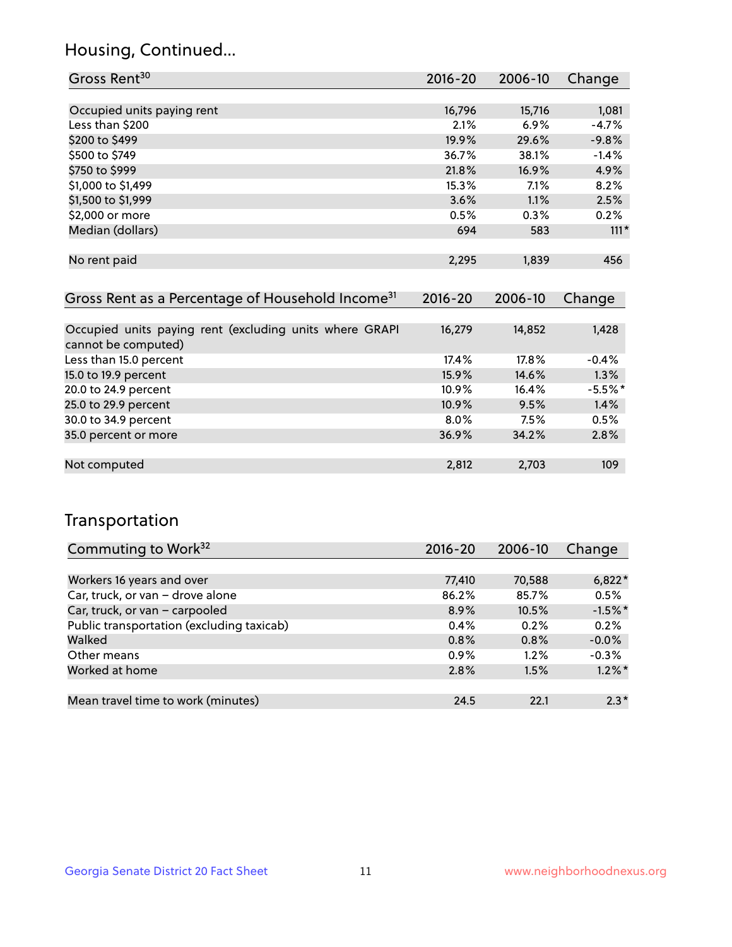## Housing, Continued...

| Gross Rent <sup>30</sup>                                     | 2016-20     | 2006-10 | Change    |
|--------------------------------------------------------------|-------------|---------|-----------|
|                                                              |             |         |           |
| Occupied units paying rent                                   | 16,796      | 15,716  | 1,081     |
| Less than \$200                                              | 2.1%        | 6.9%    | $-4.7%$   |
| \$200 to \$499                                               | 19.9%       | 29.6%   | $-9.8%$   |
| \$500 to \$749                                               | 36.7%       | 38.1%   | $-1.4%$   |
| \$750 to \$999                                               | 21.8%       | 16.9%   | 4.9%      |
| \$1,000 to \$1,499                                           | 15.3%       | 7.1%    | 8.2%      |
| \$1,500 to \$1,999                                           | 3.6%        | 1.1%    | 2.5%      |
| \$2,000 or more                                              | 0.5%        | 0.3%    | 0.2%      |
| Median (dollars)                                             | 694         | 583     | $111*$    |
|                                                              |             |         |           |
| No rent paid                                                 | 2,295       | 1,839   | 456       |
|                                                              |             |         |           |
| Gross Rent as a Percentage of Household Income <sup>31</sup> | $2016 - 20$ | 2006-10 | Change    |
|                                                              |             |         |           |
| Occupied units paying rent (excluding units where GRAPI      | 16,279      | 14,852  | 1,428     |
| cannot be computed)                                          |             |         |           |
| Less than 15.0 percent                                       | 17.4%       | 17.8%   | $-0.4%$   |
| 15.0 to 19.9 percent                                         | 15.9%       | 14.6%   | 1.3%      |
| 20.0 to 24.9 percent                                         | 10.9%       | 16.4%   | $-5.5%$ * |
| 25.0 to 29.9 percent                                         | 10.9%       | 9.5%    | 1.4%      |
| 30.0 to 34.9 percent                                         | 8.0%        | 7.5%    | 0.5%      |
| 35.0 percent or more                                         | 36.9%       | 34.2%   | 2.8%      |
|                                                              |             |         |           |
| Not computed                                                 | 2,812       | 2,703   | 109       |

## Transportation

| Commuting to Work <sup>32</sup>           | 2016-20 | 2006-10 | Change    |
|-------------------------------------------|---------|---------|-----------|
|                                           |         |         |           |
| Workers 16 years and over                 | 77,410  | 70,588  | $6,822*$  |
| Car, truck, or van - drove alone          | 86.2%   | 85.7%   | 0.5%      |
| Car, truck, or van - carpooled            | 8.9%    | 10.5%   | $-1.5%$ * |
| Public transportation (excluding taxicab) | 0.4%    | 0.2%    | 0.2%      |
| Walked                                    | 0.8%    | 0.8%    | $-0.0%$   |
| Other means                               | $0.9\%$ | $1.2\%$ | $-0.3%$   |
| Worked at home                            | 2.8%    | 1.5%    | $1.2\%$ * |
|                                           |         |         |           |
| Mean travel time to work (minutes)        | 24.5    | 22.1    | $2.3*$    |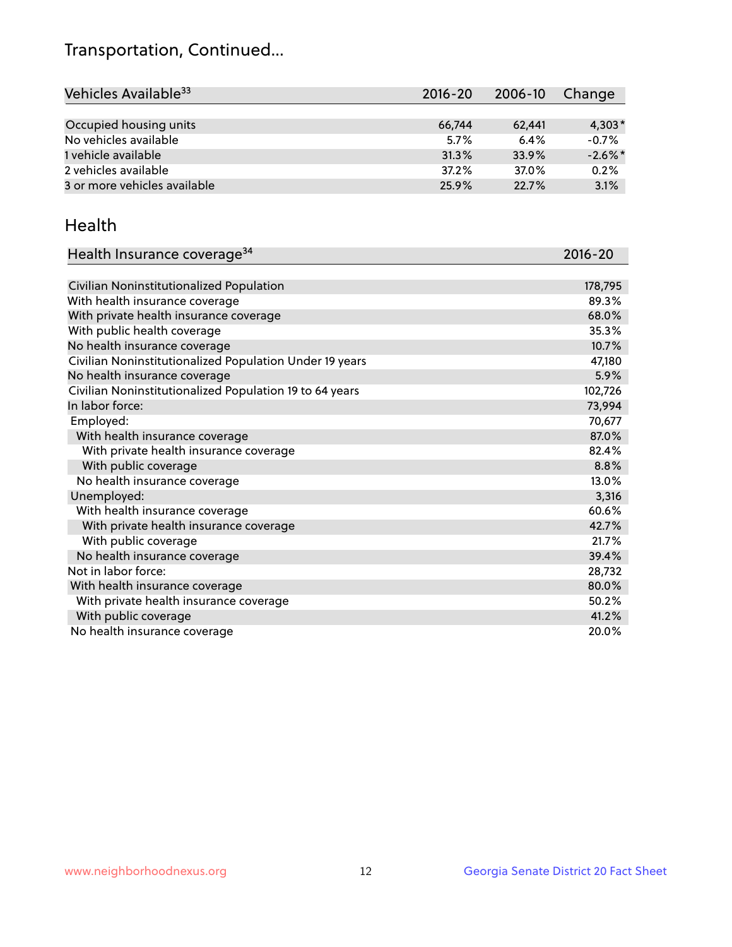## Transportation, Continued...

| Vehicles Available <sup>33</sup> | 2016-20 | 2006-10 | Change     |
|----------------------------------|---------|---------|------------|
|                                  |         |         |            |
| Occupied housing units           | 66,744  | 62,441  | $4,303*$   |
| No vehicles available            | 5.7%    | 6.4%    | $-0.7%$    |
| 1 vehicle available              | 31.3%   | 33.9%   | $-2.6\%$ * |
| 2 vehicles available             | 37.2%   | 37.0%   | 0.2%       |
| 3 or more vehicles available     | 25.9%   | 22.7%   | 3.1%       |

#### Health

| Health Insurance coverage <sup>34</sup>                 | 2016-20 |
|---------------------------------------------------------|---------|
|                                                         |         |
| Civilian Noninstitutionalized Population                | 178,795 |
| With health insurance coverage                          | 89.3%   |
| With private health insurance coverage                  | 68.0%   |
| With public health coverage                             | 35.3%   |
| No health insurance coverage                            | 10.7%   |
| Civilian Noninstitutionalized Population Under 19 years | 47,180  |
| No health insurance coverage                            | 5.9%    |
| Civilian Noninstitutionalized Population 19 to 64 years | 102,726 |
| In labor force:                                         | 73,994  |
| Employed:                                               | 70,677  |
| With health insurance coverage                          | 87.0%   |
| With private health insurance coverage                  | 82.4%   |
| With public coverage                                    | 8.8%    |
| No health insurance coverage                            | 13.0%   |
| Unemployed:                                             | 3,316   |
| With health insurance coverage                          | 60.6%   |
| With private health insurance coverage                  | 42.7%   |
| With public coverage                                    | 21.7%   |
| No health insurance coverage                            | 39.4%   |
| Not in labor force:                                     | 28,732  |
| With health insurance coverage                          | 80.0%   |
| With private health insurance coverage                  | 50.2%   |
| With public coverage                                    | 41.2%   |
| No health insurance coverage                            | 20.0%   |